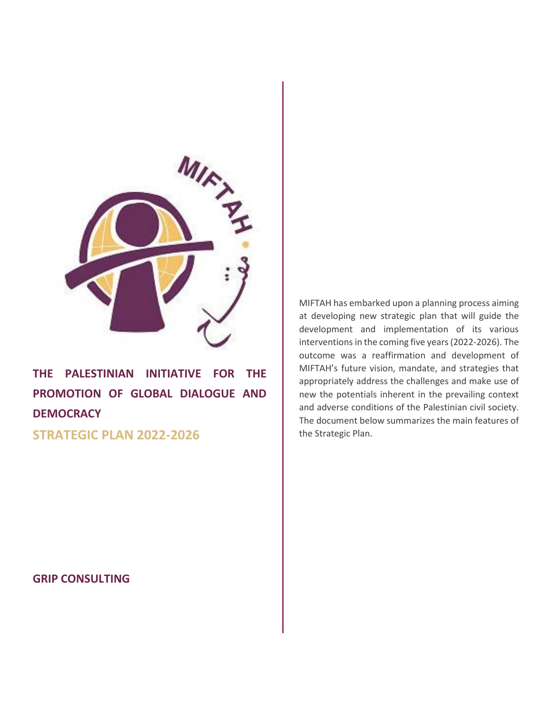

**THE PALESTINIAN INITIATIVE FOR THE PROMOTION OF GLOBAL DIALOGUE AND DEMOCRACY**

**STRATEGIC PLAN 2022-2026**

MIFTAH has embarked upon a planning process aiming at developing new strategic plan that will guide the development and implementation of its various interventions in the coming five years (2022-2026). The outcome was a reaffirmation and development of MIFTAH's future vision, mandate, and strategies that appropriately address the challenges and make use of new the potentials inherent in the prevailing context and adverse conditions of the Palestinian civil society. The document below summarizes the main features of the Strategic Plan.

**GRIP CONSULTING**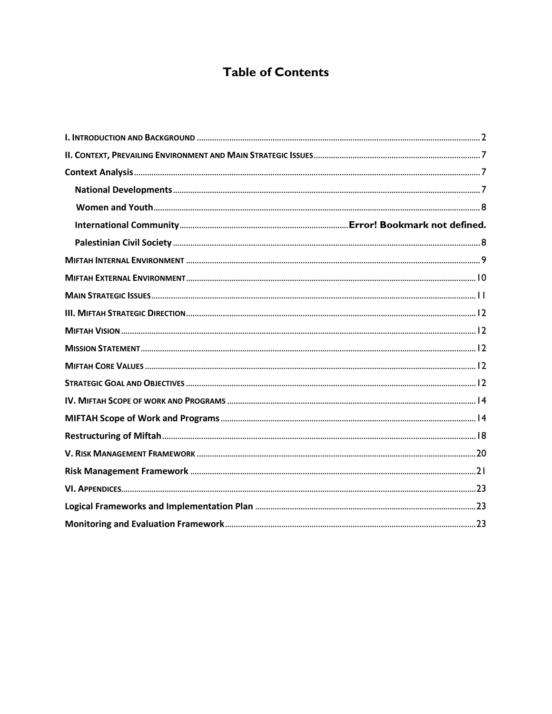# **Table of Contents**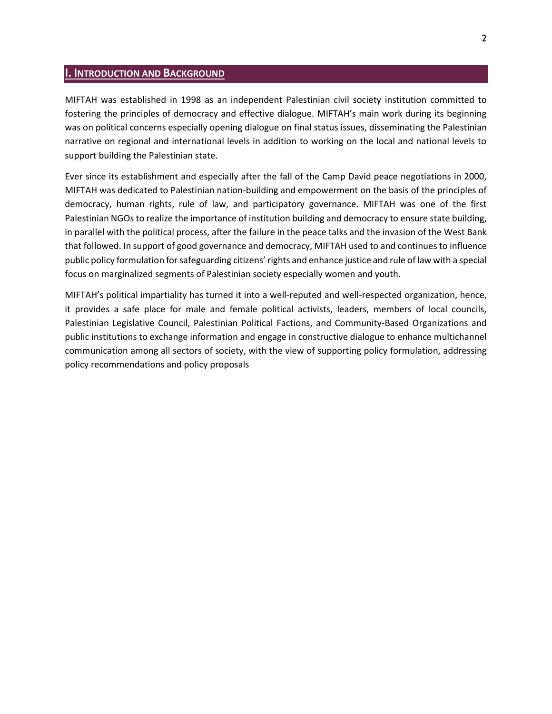## <span id="page-2-0"></span>**I. INTRODUCTION AND BACKGROUND**

MIFTAH was established in 1998 as an independent Palestinian civil society institution committed to fostering the principles of democracy and effective dialogue. MIFTAH's main work during its beginning was on political concerns especially opening dialogue on final status issues, disseminating the Palestinian narrative on regional and international levels in addition to working on the local and national levels to support building the Palestinian state.

Ever since its establishment and especially after the fall of the Camp David peace negotiations in 2000, MIFTAH was dedicated to Palestinian nation-building and empowerment on the basis of the principles of democracy, human rights, rule of law, and participatory governance. MIFTAH was one of the first Palestinian NGOs to realize the importance of institution building and democracy to ensure state building, in parallel with the political process, after the failure in the peace talks and the invasion of the West Bank that followed. In support of good governance and democracy, MIFTAH used to and continues to influence public policy formulation for safeguarding citizens' rights and enhance justice and rule of law with a special focus on marginalized segments of Palestinian society especially women and youth.

MIFTAH's political impartiality has turned it into a well-reputed and well-respected organization, hence, it provides a safe place for male and female political activists, leaders, members of local councils, Palestinian Legislative Council, Palestinian Political Factions, and Community-Based Organizations and public institutions to exchange information and engage in constructive dialogue to enhance multichannel communication among all sectors of society, with the view of supporting policy formulation, addressing policy recommendations and policy proposals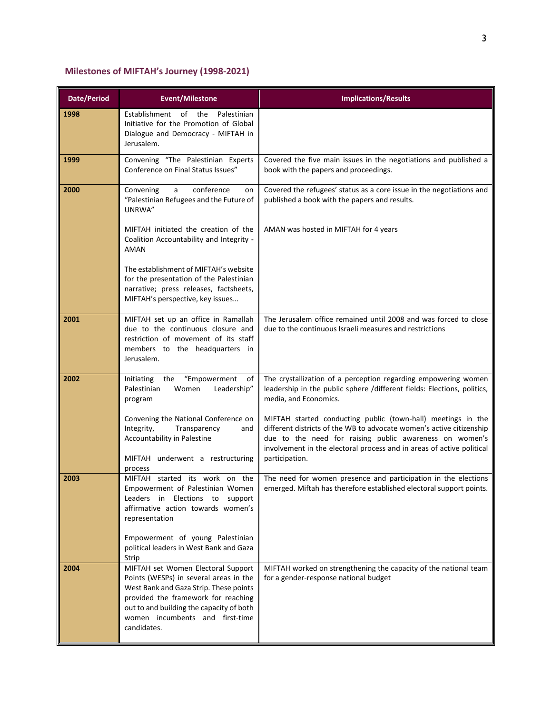## **Milestones of MIFTAH's Journey (1998-2021)**

| <b>Date/Period</b> | <b>Event/Milestone</b>                                                                                                                                                                                                                                      | <b>Implications/Results</b>                                                                                                                                                                                                                                                                |
|--------------------|-------------------------------------------------------------------------------------------------------------------------------------------------------------------------------------------------------------------------------------------------------------|--------------------------------------------------------------------------------------------------------------------------------------------------------------------------------------------------------------------------------------------------------------------------------------------|
| 1998               | Establishment of the<br>Palestinian<br>Initiative for the Promotion of Global<br>Dialogue and Democracy - MIFTAH in<br>Jerusalem.                                                                                                                           |                                                                                                                                                                                                                                                                                            |
| 1999               | Convening "The Palestinian Experts<br>Conference on Final Status Issues"                                                                                                                                                                                    | Covered the five main issues in the negotiations and published a<br>book with the papers and proceedings.                                                                                                                                                                                  |
| 2000               | conference<br>Convening<br>a<br>on<br>"Palestinian Refugees and the Future of<br>UNRWA"                                                                                                                                                                     | Covered the refugees' status as a core issue in the negotiations and<br>published a book with the papers and results.                                                                                                                                                                      |
|                    | MIFTAH initiated the creation of the<br>Coalition Accountability and Integrity -<br><b>AMAN</b>                                                                                                                                                             | AMAN was hosted in MIFTAH for 4 years                                                                                                                                                                                                                                                      |
|                    | The establishment of MIFTAH's website<br>for the presentation of the Palestinian<br>narrative; press releases, factsheets,<br>MIFTAH's perspective, key issues                                                                                              |                                                                                                                                                                                                                                                                                            |
| 2001               | MIFTAH set up an office in Ramallah<br>due to the continuous closure and<br>restriction of movement of its staff<br>members to the headquarters in<br>Jerusalem.                                                                                            | The Jerusalem office remained until 2008 and was forced to close<br>due to the continuous Israeli measures and restrictions                                                                                                                                                                |
| 2002               | Initiating<br>the<br>"Empowerment<br>of<br>Palestinian<br>Women<br>Leadership"<br>program                                                                                                                                                                   | The crystallization of a perception regarding empowering women<br>leadership in the public sphere /different fields: Elections, politics,<br>media, and Economics.                                                                                                                         |
|                    | Convening the National Conference on<br>Integrity,<br>Transparency<br>and<br>Accountability in Palestine<br>MIFTAH underwent a restructuring<br>process                                                                                                     | MIFTAH started conducting public (town-hall) meetings in the<br>different districts of the WB to advocate women's active citizenship<br>due to the need for raising public awareness on women's<br>involvement in the electoral process and in areas of active political<br>participation. |
| 2003               | MIFTAH started its work on the<br>Empowerment of Palestinian Women<br>Leaders in Elections to support<br>affirmative action towards women's<br>representation                                                                                               | The need for women presence and participation in the elections<br>emerged. Miftah has therefore established electoral support points.                                                                                                                                                      |
|                    | Empowerment of young Palestinian<br>political leaders in West Bank and Gaza<br>Strip                                                                                                                                                                        |                                                                                                                                                                                                                                                                                            |
| 2004               | MIFTAH set Women Electoral Support<br>Points (WESPs) in several areas in the<br>West Bank and Gaza Strip. These points<br>provided the framework for reaching<br>out to and building the capacity of both<br>women incumbents and first-time<br>candidates. | MIFTAH worked on strengthening the capacity of the national team<br>for a gender-response national budget                                                                                                                                                                                  |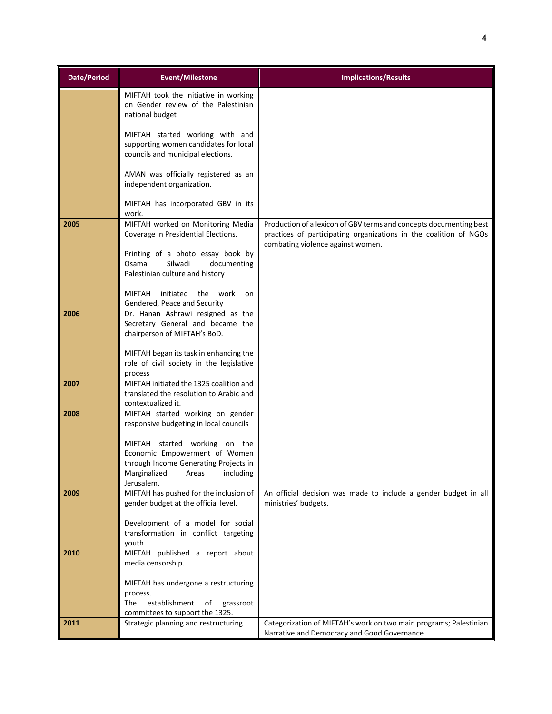| <b>Date/Period</b> | <b>Event/Milestone</b>                                                                                                                                      | <b>Implications/Results</b>                                                                                                                                                  |
|--------------------|-------------------------------------------------------------------------------------------------------------------------------------------------------------|------------------------------------------------------------------------------------------------------------------------------------------------------------------------------|
|                    | MIFTAH took the initiative in working<br>on Gender review of the Palestinian<br>national budget                                                             |                                                                                                                                                                              |
|                    | MIFTAH started working with and<br>supporting women candidates for local<br>councils and municipal elections.                                               |                                                                                                                                                                              |
|                    | AMAN was officially registered as an<br>independent organization.                                                                                           |                                                                                                                                                                              |
|                    | MIFTAH has incorporated GBV in its<br>work.                                                                                                                 |                                                                                                                                                                              |
| 2005               | MIFTAH worked on Monitoring Media<br>Coverage in Presidential Elections.                                                                                    | Production of a lexicon of GBV terms and concepts documenting best<br>practices of participating organizations in the coalition of NGOs<br>combating violence against women. |
|                    | Printing of a photo essay book by<br>Osama<br>Silwadi<br>documenting<br>Palestinian culture and history                                                     |                                                                                                                                                                              |
|                    | initiated<br><b>MIFTAH</b><br>the work<br>on<br>Gendered, Peace and Security                                                                                |                                                                                                                                                                              |
| 2006               | Dr. Hanan Ashrawi resigned as the<br>Secretary General and became the<br>chairperson of MIFTAH's BoD.                                                       |                                                                                                                                                                              |
|                    | MIFTAH began its task in enhancing the<br>role of civil society in the legislative<br>process                                                               |                                                                                                                                                                              |
| 2007               | MIFTAH initiated the 1325 coalition and<br>translated the resolution to Arabic and<br>contextualized it.                                                    |                                                                                                                                                                              |
| 2008               | MIFTAH started working on gender<br>responsive budgeting in local councils                                                                                  |                                                                                                                                                                              |
|                    | MIFTAH started working on the<br>Economic Empowerment of Women<br>through Income Generating Projects in<br>Marginalized<br>including<br>Areas<br>Jerusalem. |                                                                                                                                                                              |
| 2009               | MIFTAH has pushed for the inclusion of<br>gender budget at the official level.                                                                              | An official decision was made to include a gender budget in all<br>ministries' budgets.                                                                                      |
|                    | Development of a model for social<br>transformation in conflict targeting<br>youth                                                                          |                                                                                                                                                                              |
| 2010               | MIFTAH published a report about<br>media censorship.                                                                                                        |                                                                                                                                                                              |
|                    | MIFTAH has undergone a restructuring<br>process.<br>establishment<br>The<br>of<br>grassroot                                                                 |                                                                                                                                                                              |
|                    | committees to support the 1325.                                                                                                                             |                                                                                                                                                                              |
| 2011               | Strategic planning and restructuring                                                                                                                        | Categorization of MIFTAH's work on two main programs; Palestinian<br>Narrative and Democracy and Good Governance                                                             |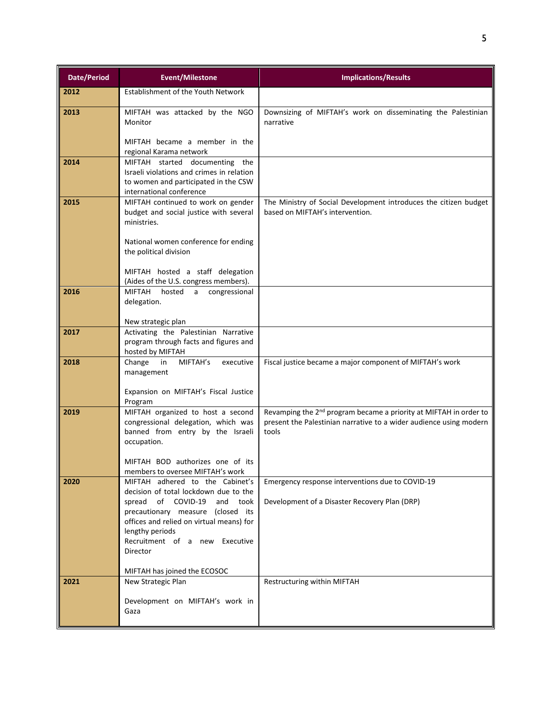| <b>Date/Period</b> | <b>Event/Milestone</b>                                                                                                                                                                                                                                                                                                                 | <b>Implications/Results</b>                                                                                                                                  |  |  |
|--------------------|----------------------------------------------------------------------------------------------------------------------------------------------------------------------------------------------------------------------------------------------------------------------------------------------------------------------------------------|--------------------------------------------------------------------------------------------------------------------------------------------------------------|--|--|
| 2012               | Establishment of the Youth Network                                                                                                                                                                                                                                                                                                     |                                                                                                                                                              |  |  |
| 2013               | MIFTAH was attacked by the NGO<br>Monitor<br>MIFTAH became a member in the                                                                                                                                                                                                                                                             | Downsizing of MIFTAH's work on disseminating the Palestinian<br>narrative                                                                                    |  |  |
| 2014               | regional Karama network<br>MIFTAH started documenting the<br>Israeli violations and crimes in relation<br>to women and participated in the CSW<br>international conference                                                                                                                                                             |                                                                                                                                                              |  |  |
| 2015               | MIFTAH continued to work on gender<br>budget and social justice with several<br>ministries.<br>National women conference for ending                                                                                                                                                                                                    | The Ministry of Social Development introduces the citizen budget<br>based on MIFTAH's intervention.                                                          |  |  |
|                    | the political division<br>MIFTAH hosted a staff delegation<br>(Aides of the U.S. congress members).                                                                                                                                                                                                                                    |                                                                                                                                                              |  |  |
| 2016               | MIFTAH<br>hosted<br>a<br>congressional<br>delegation.<br>New strategic plan                                                                                                                                                                                                                                                            |                                                                                                                                                              |  |  |
| 2017               | Activating the Palestinian Narrative<br>program through facts and figures and<br>hosted by MIFTAH                                                                                                                                                                                                                                      |                                                                                                                                                              |  |  |
| 2018               | MIFTAH's<br>Change<br>in<br>executive<br>management<br>Expansion on MIFTAH's Fiscal Justice<br>Program                                                                                                                                                                                                                                 | Fiscal justice became a major component of MIFTAH's work                                                                                                     |  |  |
| 2019               | MIFTAH organized to host a second<br>congressional delegation, which was<br>banned from entry by the Israeli<br>occupation.<br>MIFTAH BOD authorizes one of its                                                                                                                                                                        | Revamping the 2 <sup>nd</sup> program became a priority at MIFTAH in order to<br>present the Palestinian narrative to a wider audience using modern<br>tools |  |  |
| 2020               | members to oversee MIFTAH's work<br>MIFTAH adhered to the Cabinet's<br>decision of total lockdown due to the<br>of COVID-19<br>and<br>took<br>spread<br>precautionary measure (closed its<br>offices and relied on virtual means) for<br>lengthy periods<br>Recruitment of a new Executive<br>Director<br>MIFTAH has joined the ECOSOC | Emergency response interventions due to COVID-19<br>Development of a Disaster Recovery Plan (DRP)                                                            |  |  |
| 2021               | New Strategic Plan<br>Development on MIFTAH's work in<br>Gaza                                                                                                                                                                                                                                                                          | Restructuring within MIFTAH                                                                                                                                  |  |  |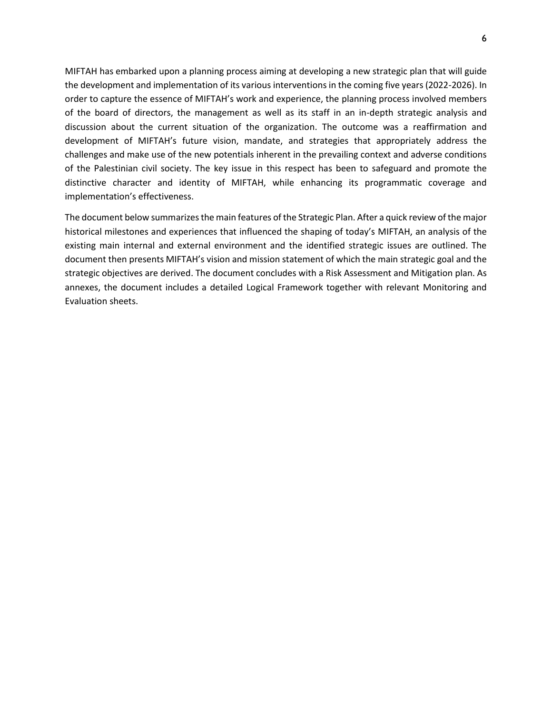MIFTAH has embarked upon a planning process aiming at developing a new strategic plan that will guide the development and implementation of its various interventions in the coming five years (2022-2026). In order to capture the essence of MIFTAH's work and experience, the planning process involved members of the board of directors, the management as well as its staff in an in-depth strategic analysis and discussion about the current situation of the organization. The outcome was a reaffirmation and development of MIFTAH's future vision, mandate, and strategies that appropriately address the challenges and make use of the new potentials inherent in the prevailing context and adverse conditions of the Palestinian civil society. The key issue in this respect has been to safeguard and promote the distinctive character and identity of MIFTAH, while enhancing its programmatic coverage and implementation's effectiveness.

The document below summarizes the main features of the Strategic Plan. After a quick review of the major historical milestones and experiences that influenced the shaping of today's MIFTAH, an analysis of the existing main internal and external environment and the identified strategic issues are outlined. The document then presents MIFTAH's vision and mission statement of which the main strategic goal and the strategic objectives are derived. The document concludes with a Risk Assessment and Mitigation plan. As annexes, the document includes a detailed Logical Framework together with relevant Monitoring and Evaluation sheets.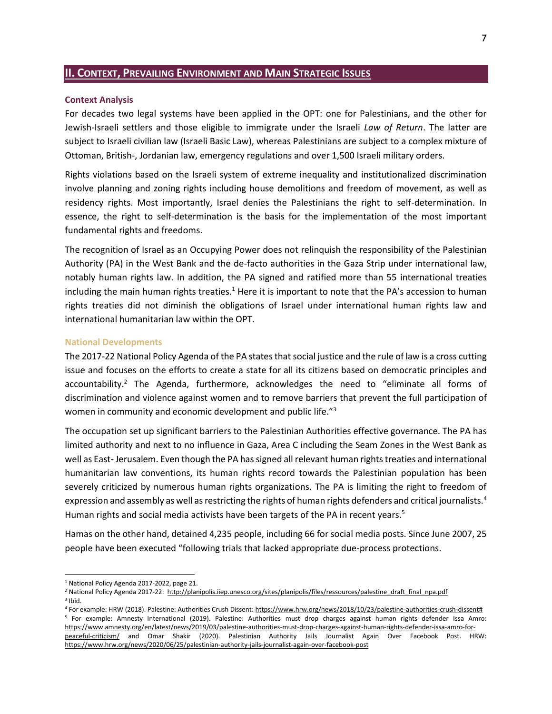## <span id="page-7-0"></span>**II. CONTEXT, PREVAILING ENVIRONMENT AND MAIN STRATEGIC ISSUES**

#### <span id="page-7-1"></span>**Context Analysis**

For decades two legal systems have been applied in the OPT: one for Palestinians, and the other for Jewish-Israeli settlers and those eligible to immigrate under the Israeli *Law of Return*. The latter are subject to Israeli civilian law (Israeli Basic Law), whereas Palestinians are subject to a complex mixture of Ottoman, British-, Jordanian law, emergency regulations and over 1,500 Israeli military orders.

Rights violations based on the Israeli system of extreme inequality and institutionalized discrimination involve planning and zoning rights including house demolitions and freedom of movement, as well as residency rights. Most importantly, Israel denies the Palestinians the right to self-determination. In essence, the right to self-determination is the basis for the implementation of the most important fundamental rights and freedoms.

The recognition of Israel as an Occupying Power does not relinquish the responsibility of the Palestinian Authority (PA) in the West Bank and the de-facto authorities in the Gaza Strip under international law, notably human rights law. In addition, the PA signed and ratified more than 55 international treaties including the main human rights treaties.<sup>1</sup> Here it is important to note that the PA's accession to human rights treaties did not diminish the obligations of Israel under international human rights law and international humanitarian law within the OPT.

#### <span id="page-7-2"></span>**National Developments**

The 2017-22 National Policy Agenda of the PA states that social justice and the rule of law is a cross cutting issue and focuses on the efforts to create a state for all its citizens based on democratic principles and accountability.<sup>2</sup> The Agenda, furthermore, acknowledges the need to "eliminate all forms of discrimination and violence against women and to remove barriers that prevent the full participation of women in community and economic development and public life."<sup>3</sup>

The occupation set up significant barriers to the Palestinian Authorities effective governance. The PA has limited authority and next to no influence in Gaza, Area C including the Seam Zones in the West Bank as well as East- Jerusalem. Even though the PA has signed all relevant human rights treaties and international humanitarian law conventions, its human rights record towards the Palestinian population has been severely criticized by numerous human rights organizations. The PA is limiting the right to freedom of expression and assembly as well as restricting the rights of human rights defenders and critical journalists.<sup>4</sup> Human rights and social media activists have been targets of the PA in recent years.<sup>5</sup>

Hamas on the other hand, detained 4,235 people, including 66 for social media posts. Since June 2007, 25 people have been executed "following trials that lacked appropriate due-process protections.

<sup>&</sup>lt;sup>1</sup> National Policy Agenda 2017-2022, page 21.

<sup>&</sup>lt;sup>2</sup> National Policy Agenda 2017-22: [http://planipolis.iiep.unesco.org/sites/planipolis/files/ressources/palestine\\_draft\\_final\\_npa.pdf](http://planipolis.iiep.unesco.org/sites/planipolis/files/ressources/palestine_draft_final_npa.pdf) 3 Ibid.

<sup>4</sup> For example: HRW (2018). Palestine: Authorities Crush Dissent[: https://www.hrw.org/news/2018/10/23/palestine-authorities-crush-dissent#](https://www.hrw.org/news/2018/10/23/palestine-authorities-crush-dissent) <sup>5</sup> For example: Amnesty International (2019). Palestine: Authorities must drop charges against human rights defender Issa Amro: [https://www.amnesty.org/en/latest/news/2019/03/palestine-authorities-must-drop-charges-against-human-rights-defender-issa-amro-for](https://www.amnesty.org/en/latest/news/2019/03/palestine-authorities-must-drop-charges-against-human-rights-defender-issa-amro-for-peaceful-criticism/)[peaceful-criticism/](https://www.amnesty.org/en/latest/news/2019/03/palestine-authorities-must-drop-charges-against-human-rights-defender-issa-amro-for-peaceful-criticism/) and Omar Shakir (2020). Palestinian Authority Jails Journalist Again Over Facebook Post. HRW: <https://www.hrw.org/news/2020/06/25/palestinian-authority-jails-journalist-again-over-facebook-post>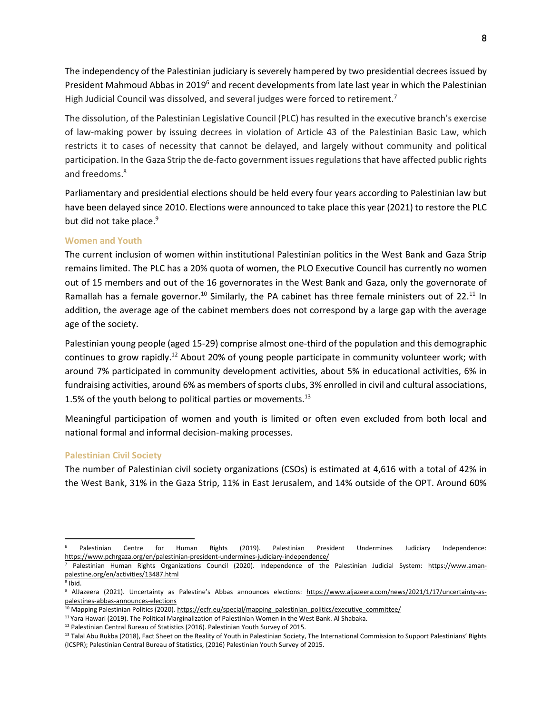The independency of the Palestinian judiciary is severely hampered by two presidential decrees issued by President Mahmoud Abbas in 2019<sup>6</sup> and recent developments from late last year in which the Palestinian High Judicial Council was dissolved, and several judges were forced to retirement.<sup>7</sup>

The dissolution, of the Palestinian Legislative Council (PLC) has resulted in the executive branch's exercise of law-making power by issuing decrees in violation of Article 43 of the Palestinian Basic Law, which restricts it to cases of necessity that cannot be delayed, and largely without community and political participation. In the Gaza Strip the de-facto government issues regulations that have affected public rights and freedoms.<sup>8</sup>

Parliamentary and presidential elections should be held every four years according to Palestinian law but have been delayed since 2010. Elections were announced to take place this year (2021) to restore the PLC but did not take place.<sup>9</sup>

### <span id="page-8-0"></span>**Women and Youth**

The current inclusion of women within institutional Palestinian politics in the West Bank and Gaza Strip remains limited. The PLC has a 20% quota of women, the PLO Executive Council has currently no women out of 15 members and out of the 16 governorates in the West Bank and Gaza, only the governorate of Ramallah has a female governor.<sup>10</sup> Similarly, the PA cabinet has three female ministers out of 22.<sup>11</sup> In addition, the average age of the cabinet members does not correspond by a large gap with the average age of the society.

Palestinian young people (aged 15-29) comprise almost one-third of the population and this demographic continues to grow rapidly.<sup>12</sup> About 20% of young people participate in community volunteer work; with around 7% participated in community development activities, about 5% in educational activities, 6% in fundraising activities, around 6% as members of sports clubs, 3% enrolled in civil and cultural associations, 1.5% of the youth belong to political parties or movements.<sup>13</sup>

Meaningful participation of women and youth is limited or often even excluded from both local and national formal and informal decision-making processes.

#### <span id="page-8-1"></span>**Palestinian Civil Society**

The number of Palestinian civil society organizations (CSOs) is estimated at 4,616 with a total of 42% in the West Bank, 31% in the Gaza Strip, 11% in East Jerusalem, and 14% outside of the OPT. Around 60%

<sup>6</sup> Palestinian Centre for Human Rights (2019). Palestinian President Undermines Judiciary Independence: <https://www.pchrgaza.org/en/palestinian-president-undermines-judiciary-independence/>

Palestinian Human Rights Organizations Council (2020). Independence of the Palestinian Judicial System: [https://www.aman](https://www.aman-palestine.org/en/activities/13487.html)[palestine.org/en/activities/13487.html](https://www.aman-palestine.org/en/activities/13487.html) 8 Ibid.

<sup>&</sup>lt;sup>9</sup> AlJazeera (2021). Uncertainty as Palestine's Abbas announces elections: [https://www.aljazeera.com/news/2021/1/17/uncertainty-as](https://www.aljazeera.com/news/2021/1/17/uncertainty-as-palestines-abbas-announces-elections)[palestines-abbas-announces-elections](https://www.aljazeera.com/news/2021/1/17/uncertainty-as-palestines-abbas-announces-elections)

<sup>&</sup>lt;sup>10</sup> Mapping Palestinian Politics (2020)[. https://ecfr.eu/special/mapping\\_palestinian\\_politics/executive\\_committee/](https://ecfr.eu/special/mapping_palestinian_politics/executive_committee/)

<sup>&</sup>lt;sup>11</sup> Yara Hawari (2019). The Political Marginalization of Palestinian Women in the West Bank. Al Shabaka.

<sup>12</sup> Palestinian Central Bureau of Statistics (2016). Palestinian Youth Survey of 2015.

<sup>13</sup> Talal Abu Rukba (2018), Fact Sheet on the Reality of Youth in Palestinian Society, The International Commission to Support Palestinians' Rights (ICSPR); Palestinian Central Bureau of Statistics, (2016) Palestinian Youth Survey of 2015.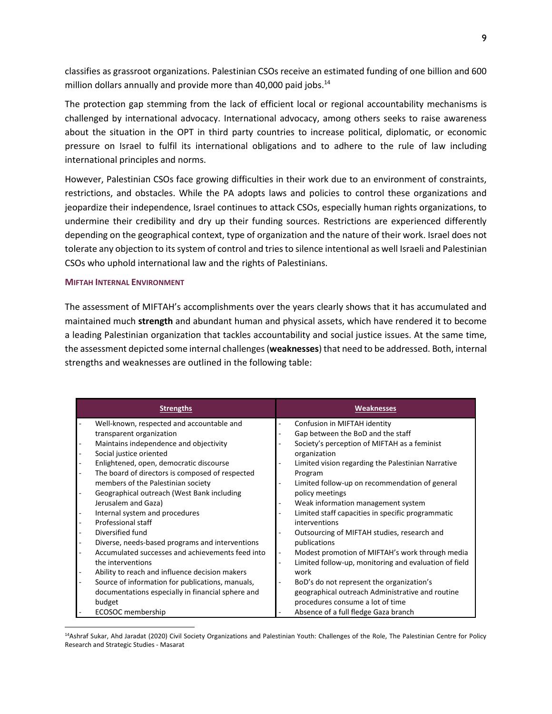classifies as grassroot organizations. Palestinian CSOs receive an estimated funding of one billion and 600 million dollars annually and provide more than 40,000 paid jobs. $14$ 

The protection gap stemming from the lack of efficient local or regional accountability mechanisms is challenged by international advocacy. International advocacy, among others seeks to raise awareness about the situation in the OPT in third party countries to increase political, diplomatic, or economic pressure on Israel to fulfil its international obligations and to adhere to the rule of law including international principles and norms.

However, Palestinian CSOs face growing difficulties in their work due to an environment of constraints, restrictions, and obstacles. While the PA adopts laws and policies to control these organizations and jeopardize their independence, Israel continues to attack CSOs, especially human rights organizations, to undermine their credibility and dry up their funding sources. Restrictions are experienced differently depending on the geographical context, type of organization and the nature of their work. Israel does not tolerate any objection to its system of control and tries to silence intentional as well Israeli and Palestinian CSOs who uphold international law and the rights of Palestinians.

#### <span id="page-9-0"></span>**MIFTAH INTERNAL ENVIRONMENT**

The assessment of MIFTAH's accomplishments over the years clearly shows that it has accumulated and maintained much **strength** and abundant human and physical assets, which have rendered it to become a leading Palestinian organization that tackles accountability and social justice issues. At the same time, the assessment depicted some internal challenges (**weaknesses**) that need to be addressed. Both, internal strengths and weaknesses are outlined in the following table:

| <b>Strengths</b>                                  | <b>Weaknesses</b>                                     |
|---------------------------------------------------|-------------------------------------------------------|
| Well-known, respected and accountable and         | Confusion in MIFTAH identity                          |
| transparent organization                          | Gap between the BoD and the staff                     |
| Maintains independence and objectivity            | Society's perception of MIFTAH as a feminist          |
| Social justice oriented                           | organization                                          |
| Enlightened, open, democratic discourse           | Limited vision regarding the Palestinian Narrative    |
| The board of directors is composed of respected   | Program                                               |
| members of the Palestinian society                | Limited follow-up on recommendation of general        |
| Geographical outreach (West Bank including        | policy meetings                                       |
| Jerusalem and Gaza)                               | Weak information management system                    |
| Internal system and procedures                    | Limited staff capacities in specific programmatic     |
| Professional staff                                | interventions                                         |
| Diversified fund                                  | Outsourcing of MIFTAH studies, research and           |
| Diverse, needs-based programs and interventions   | publications                                          |
| Accumulated successes and achievements feed into  | Modest promotion of MIFTAH's work through media       |
| the interventions                                 | Limited follow-up, monitoring and evaluation of field |
| Ability to reach and influence decision makers    | work                                                  |
| Source of information for publications, manuals,  | BoD's do not represent the organization's             |
| documentations especially in financial sphere and | geographical outreach Administrative and routine      |
| budget                                            | procedures consume a lot of time                      |
| ECOSOC membership                                 | Absence of a full fledge Gaza branch                  |

<sup>14</sup>Ashraf Sukar, Ahd Jaradat (2020) Civil Society Organizations and Palestinian Youth: Challenges of the Role, The Palestinian Centre for Policy Research and Strategic Studies - Masarat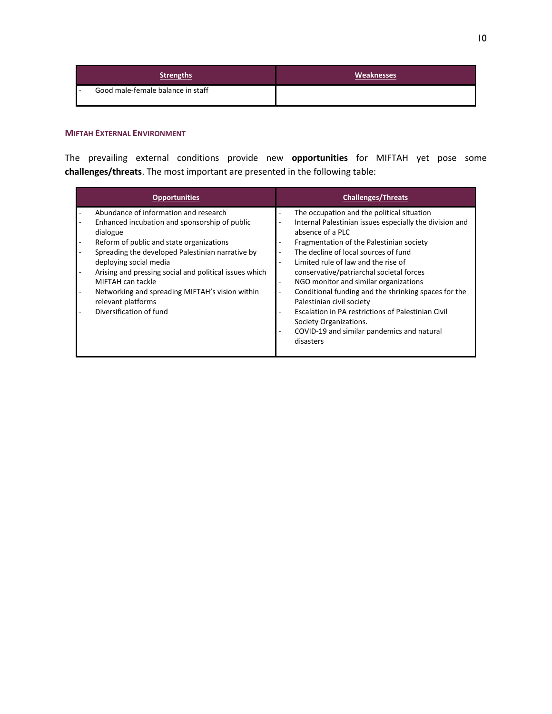| <b>Strengths</b>                       | <b>Weaknesses</b> |
|----------------------------------------|-------------------|
| Good male-female balance in staff<br>- |                   |

### <span id="page-10-0"></span>**MIFTAH EXTERNAL ENVIRONMENT**

The prevailing external conditions provide new **opportunities** for MIFTAH yet pose some **challenges/threats**. The most important are presented in the following table:

| <b>Opportunities</b>                                                                                                                                                                                                                                                                                                                                                                                            | <b>Challenges/Threats</b>                                                                                                                                                                                                                                                                                                                                                                                                                                                                                                                                                                                                                                          |
|-----------------------------------------------------------------------------------------------------------------------------------------------------------------------------------------------------------------------------------------------------------------------------------------------------------------------------------------------------------------------------------------------------------------|--------------------------------------------------------------------------------------------------------------------------------------------------------------------------------------------------------------------------------------------------------------------------------------------------------------------------------------------------------------------------------------------------------------------------------------------------------------------------------------------------------------------------------------------------------------------------------------------------------------------------------------------------------------------|
| Abundance of information and research<br>Enhanced incubation and sponsorship of public<br>dialogue<br>Reform of public and state organizations<br>Spreading the developed Palestinian narrative by<br>deploying social media<br>Arising and pressing social and political issues which<br>MIFTAH can tackle<br>Networking and spreading MIFTAH's vision within<br>relevant platforms<br>Diversification of fund | The occupation and the political situation<br>$\overline{a}$<br>Internal Palestinian issues especially the division and<br>٠<br>absence of a PLC<br>Fragmentation of the Palestinian society<br>The decline of local sources of fund<br>٠<br>Limited rule of law and the rise of<br>÷<br>conservative/patriarchal societal forces<br>NGO monitor and similar organizations<br>$\overline{\phantom{a}}$<br>Conditional funding and the shrinking spaces for the<br>$\overline{\phantom{a}}$<br>Palestinian civil society<br>Escalation in PA restrictions of Palestinian Civil<br>Society Organizations.<br>COVID-19 and similar pandemics and natural<br>disasters |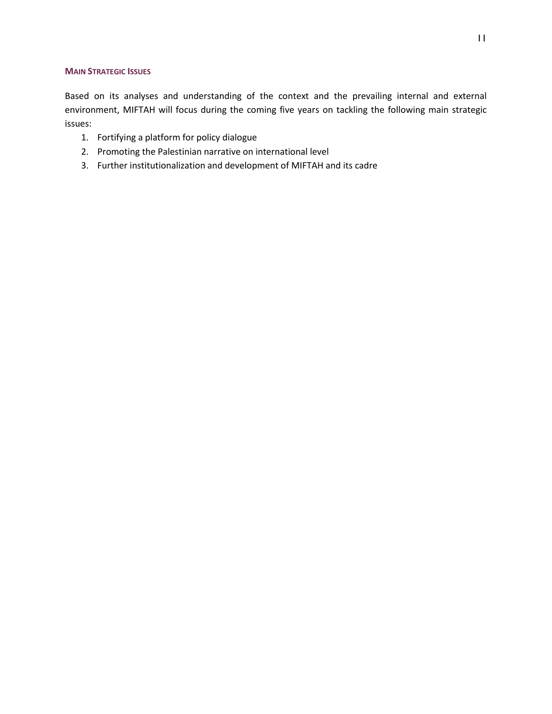#### <span id="page-11-0"></span>**MAIN STRATEGIC ISSUES**

Based on its analyses and understanding of the context and the prevailing internal and external environment, MIFTAH will focus during the coming five years on tackling the following main strategic issues:

- 1. Fortifying a platform for policy dialogue
- 2. Promoting the Palestinian narrative on international level
- 3. Further institutionalization and development of MIFTAH and its cadre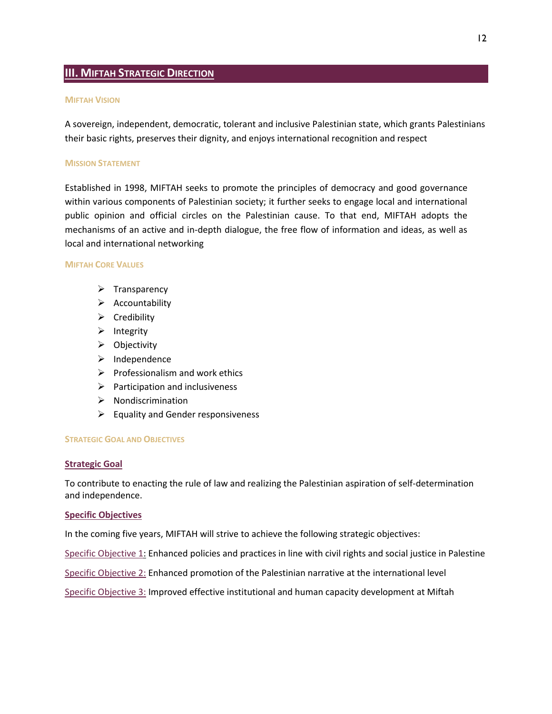## <span id="page-12-0"></span>**III. MIFTAH STRATEGIC DIRECTION**

#### <span id="page-12-1"></span>**MIFTAH VISION**

A sovereign, independent, democratic, tolerant and inclusive Palestinian state, which grants Palestinians their basic rights, preserves their dignity, and enjoys international recognition and respect

#### <span id="page-12-2"></span>**MISSION STATEMENT**

Established in 1998, MIFTAH seeks to promote the principles of democracy and good governance within various components of Palestinian society; it further seeks to engage local and international public opinion and official circles on the Palestinian cause. To that end, MIFTAH adopts the mechanisms of an active and in-depth dialogue, the free flow of information and ideas, as well as local and international networking

#### <span id="page-12-3"></span>**MIFTAH CORE VALUES**

- ➢ Transparency
- ➢ Accountability
- ➢ Credibility
- ➢ Integrity
- ➢ Objectivity
- ➢ Independence
- $\triangleright$  Professionalism and work ethics
- $\triangleright$  Participation and inclusiveness
- ➢ Nondiscrimination
- $\triangleright$  Equality and Gender responsiveness

#### <span id="page-12-4"></span>**STRATEGIC GOAL AND OBJECTIVES**

#### **Strategic Goal**

To contribute to enacting the rule of law and realizing the Palestinian aspiration of self-determination and independence.

#### **Specific Objectives**

In the coming five years, MIFTAH will strive to achieve the following strategic objectives:

Specific Objective 1: Enhanced policies and practices in line with civil rights and social justice in Palestine

Specific Objective 2: Enhanced promotion of the Palestinian narrative at the international level

Specific Objective 3: Improved effective institutional and human capacity development at Miftah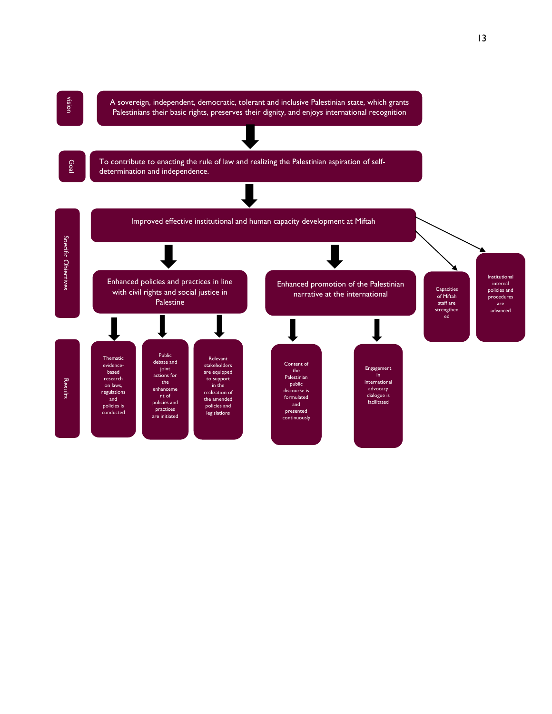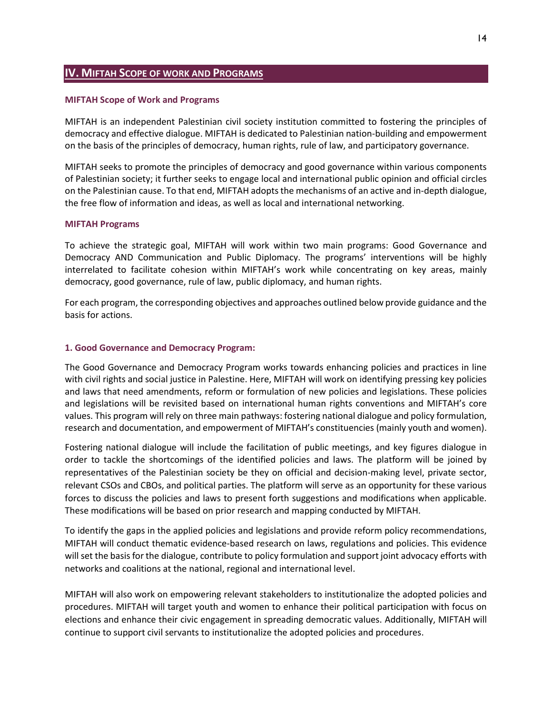## <span id="page-14-0"></span>**IV. MIFTAH SCOPE OF WORK AND PROGRAMS**

#### <span id="page-14-1"></span>**MIFTAH Scope of Work and Programs**

MIFTAH is an independent Palestinian civil society institution committed to fostering the principles of democracy and effective dialogue. MIFTAH is dedicated to Palestinian nation-building and empowerment on the basis of the principles of democracy, human rights, rule of law, and participatory governance.

MIFTAH seeks to promote the principles of democracy and good governance within various components of Palestinian society; it further seeks to engage local and international public opinion and official circles on the Palestinian cause. To that end, MIFTAH adopts the mechanisms of an active and in-depth dialogue, the free flow of information and ideas, as well as local and international networking.

#### **MIFTAH Programs**

To achieve the strategic goal, MIFTAH will work within two main programs: Good Governance and Democracy AND Communication and Public Diplomacy. The programs' interventions will be highly interrelated to facilitate cohesion within MIFTAH's work while concentrating on key areas, mainly democracy, good governance, rule of law, public diplomacy, and human rights.

For each program, the corresponding objectives and approaches outlined below provide guidance and the basis for actions.

#### **1. Good Governance and Democracy Program:**

The Good Governance and Democracy Program works towards enhancing policies and practices in line with civil rights and social justice in Palestine. Here, MIFTAH will work on identifying pressing key policies and laws that need amendments, reform or formulation of new policies and legislations. These policies and legislations will be revisited based on international human rights conventions and MIFTAH's core values. This program will rely on three main pathways: fostering national dialogue and policy formulation, research and documentation, and empowerment of MIFTAH's constituencies (mainly youth and women).

Fostering national dialogue will include the facilitation of public meetings, and key figures dialogue in order to tackle the shortcomings of the identified policies and laws. The platform will be joined by representatives of the Palestinian society be they on official and decision-making level, private sector, relevant CSOs and CBOs, and political parties. The platform will serve as an opportunity for these various forces to discuss the policies and laws to present forth suggestions and modifications when applicable. These modifications will be based on prior research and mapping conducted by MIFTAH.

To identify the gaps in the applied policies and legislations and provide reform policy recommendations, MIFTAH will conduct thematic evidence-based research on laws, regulations and policies. This evidence will set the basis for the dialogue, contribute to policy formulation and support joint advocacy efforts with networks and coalitions at the national, regional and international level.

MIFTAH will also work on empowering relevant stakeholders to institutionalize the adopted policies and procedures. MIFTAH will target youth and women to enhance their political participation with focus on elections and enhance their civic engagement in spreading democratic values. Additionally, MIFTAH will continue to support civil servants to institutionalize the adopted policies and procedures.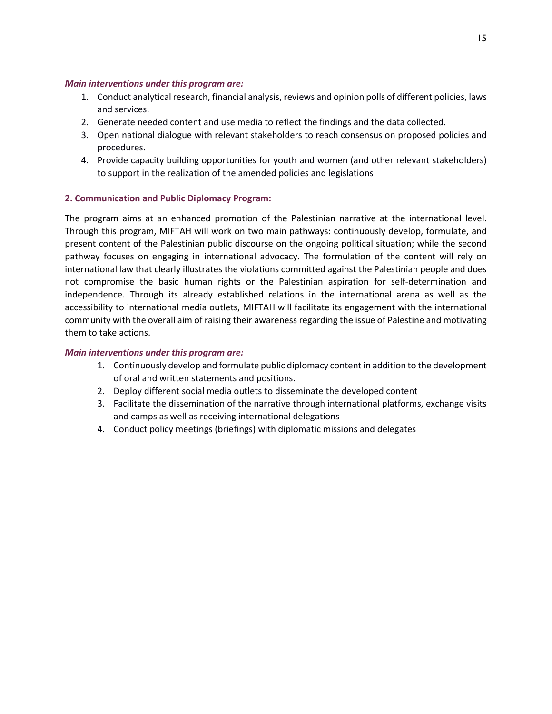### *Main interventions under this program are:*

- 1. Conduct analytical research, financial analysis, reviews and opinion polls of different policies, laws and services.
- 2. Generate needed content and use media to reflect the findings and the data collected.
- 3. Open national dialogue with relevant stakeholders to reach consensus on proposed policies and procedures.
- 4. Provide capacity building opportunities for youth and women (and other relevant stakeholders) to support in the realization of the amended policies and legislations

## **2. Communication and Public Diplomacy Program:**

The program aims at an enhanced promotion of the Palestinian narrative at the international level. Through this program, MIFTAH will work on two main pathways: continuously develop, formulate, and present content of the Palestinian public discourse on the ongoing political situation; while the second pathway focuses on engaging in international advocacy. The formulation of the content will rely on international law that clearly illustrates the violations committed against the Palestinian people and does not compromise the basic human rights or the Palestinian aspiration for self-determination and independence. Through its already established relations in the international arena as well as the accessibility to international media outlets, MIFTAH will facilitate its engagement with the international community with the overall aim of raising their awareness regarding the issue of Palestine and motivating them to take actions.

### *Main interventions under this program are:*

- 1. Continuously develop and formulate public diplomacy content in addition to the development of oral and written statements and positions.
- 2. Deploy different social media outlets to disseminate the developed content
- 3. Facilitate the dissemination of the narrative through international platforms, exchange visits and camps as well as receiving international delegations
- 4. Conduct policy meetings (briefings) with diplomatic missions and delegates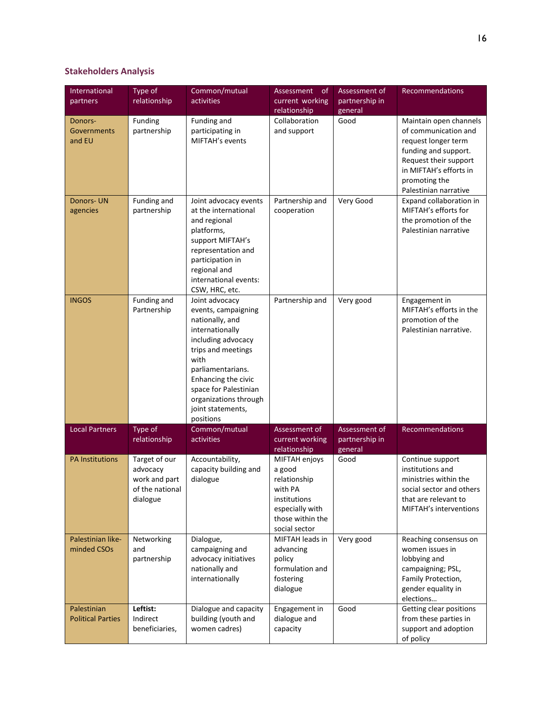## **Stakeholders Analysis**

| International<br>partners               | Type of<br>relationship                                                   | Common/mutual<br>activities                                                                                                                                                                                                                                     | Assessment<br><sub>of</sub><br>current working                                                                             | Assessment of<br>partnership in            | Recommendations                                                                                                                                                                            |
|-----------------------------------------|---------------------------------------------------------------------------|-----------------------------------------------------------------------------------------------------------------------------------------------------------------------------------------------------------------------------------------------------------------|----------------------------------------------------------------------------------------------------------------------------|--------------------------------------------|--------------------------------------------------------------------------------------------------------------------------------------------------------------------------------------------|
|                                         |                                                                           |                                                                                                                                                                                                                                                                 | relationship                                                                                                               | general                                    |                                                                                                                                                                                            |
| Donors-<br><b>Governments</b><br>and EU | Funding<br>partnership                                                    | Funding and<br>participating in<br>MIFTAH's events                                                                                                                                                                                                              | Collaboration<br>and support                                                                                               | Good                                       | Maintain open channels<br>of communication and<br>request longer term<br>funding and support.<br>Request their support<br>in MIFTAH's efforts in<br>promoting the<br>Palestinian narrative |
| <b>Donors-UN</b><br>agencies            | Funding and<br>partnership                                                | Joint advocacy events<br>at the international<br>and regional<br>platforms,<br>support MIFTAH's<br>representation and<br>participation in<br>regional and<br>international events:<br>CSW, HRC, etc.                                                            | Partnership and<br>cooperation                                                                                             | Very Good                                  | Expand collaboration in<br>MIFTAH's efforts for<br>the promotion of the<br>Palestinian narrative                                                                                           |
| <b>INGOS</b>                            | Funding and<br>Partnership                                                | Joint advocacy<br>events, campaigning<br>nationally, and<br>internationally<br>including advocacy<br>trips and meetings<br>with<br>parliamentarians.<br>Enhancing the civic<br>space for Palestinian<br>organizations through<br>joint statements,<br>positions | Partnership and                                                                                                            | Very good                                  | Engagement in<br>MIFTAH's efforts in the<br>promotion of the<br>Palestinian narrative.                                                                                                     |
| <b>Local Partners</b>                   | Type of<br>relationship                                                   | Common/mutual<br><b>activities</b>                                                                                                                                                                                                                              | Assessment of<br>current working<br>relationship                                                                           | Assessment of<br>partnership in<br>general | Recommendations                                                                                                                                                                            |
| <b>PA Institutions</b>                  | Target of our<br>advocacy<br>work and part<br>of the national<br>dialogue | Accountability,<br>capacity building and<br>dialogue                                                                                                                                                                                                            | MIFTAH enjoys<br>a good<br>relationship<br>with PA<br>institutions<br>especially with<br>those within the<br>social sector | Good                                       | Continue support<br>institutions and<br>ministries within the<br>social sector and others<br>that are relevant to<br>MIFTAH's interventions                                                |
| Palestinian like-<br>minded CSOs        | Networking<br>and<br>partnership                                          | Dialogue,<br>campaigning and<br>advocacy initiatives<br>nationally and<br>internationally                                                                                                                                                                       | MIFTAH leads in<br>advancing<br>policy<br>formulation and<br>fostering<br>dialogue                                         | Very good                                  | Reaching consensus on<br>women issues in<br>lobbying and<br>campaigning; PSL,<br>Family Protection,<br>gender equality in<br>elections                                                     |
| Palestinian<br><b>Political Parties</b> | Leftist:<br>Indirect<br>beneficiaries,                                    | Dialogue and capacity<br>building (youth and<br>women cadres)                                                                                                                                                                                                   | Engagement in<br>dialogue and<br>capacity                                                                                  | Good                                       | Getting clear positions<br>from these parties in<br>support and adoption<br>of policy                                                                                                      |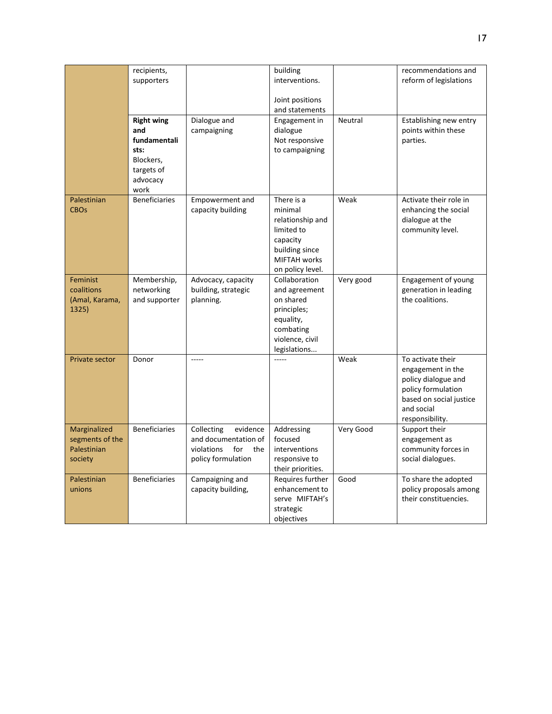|                                                           | recipients,<br>supporters                                                                       |                                                                                                  | building<br>interventions.                                                                                                       |           | recommendations and<br>reform of legislations                                                                                                   |
|-----------------------------------------------------------|-------------------------------------------------------------------------------------------------|--------------------------------------------------------------------------------------------------|----------------------------------------------------------------------------------------------------------------------------------|-----------|-------------------------------------------------------------------------------------------------------------------------------------------------|
|                                                           |                                                                                                 |                                                                                                  | Joint positions<br>and statements                                                                                                |           |                                                                                                                                                 |
|                                                           | <b>Right wing</b><br>and<br>fundamentali<br>sts:<br>Blockers,<br>targets of<br>advocacy<br>work | Dialogue and<br>campaigning                                                                      | Engagement in<br>dialogue<br>Not responsive<br>to campaigning                                                                    | Neutral   | Establishing new entry<br>points within these<br>parties.                                                                                       |
| Palestinian<br><b>CBOs</b>                                | <b>Beneficiaries</b>                                                                            | <b>Empowerment and</b><br>capacity building                                                      | There is a<br>minimal<br>relationship and<br>limited to<br>capacity<br>building since<br><b>MIFTAH</b> works<br>on policy level. | Weak      | Activate their role in<br>enhancing the social<br>dialogue at the<br>community level.                                                           |
| Feminist<br>coalitions<br>(Amal, Karama,<br>1325)         | Membership,<br>networking<br>and supporter                                                      | Advocacy, capacity<br>building, strategic<br>planning.                                           | Collaboration<br>and agreement<br>on shared<br>principles;<br>equality,<br>combating<br>violence, civil<br>legislations          | Very good | Engagement of young<br>generation in leading<br>the coalitions.                                                                                 |
| <b>Private sector</b>                                     | Donor                                                                                           | -----                                                                                            |                                                                                                                                  | Weak      | To activate their<br>engagement in the<br>policy dialogue and<br>policy formulation<br>based on social justice<br>and social<br>responsibility. |
| Marginalized<br>segments of the<br>Palestinian<br>society | <b>Beneficiaries</b>                                                                            | evidence<br>Collecting<br>and documentation of<br>violations<br>for<br>the<br>policy formulation | Addressing<br>focused<br>interventions<br>responsive to<br>their priorities.                                                     | Very Good | Support their<br>engagement as<br>community forces in<br>social dialogues.                                                                      |
| Palestinian<br>unions                                     | <b>Beneficiaries</b>                                                                            | Campaigning and<br>capacity building,                                                            | Requires further<br>enhancement to<br>serve MIFTAH's<br>strategic<br>objectives                                                  | Good      | To share the adopted<br>policy proposals among<br>their constituencies.                                                                         |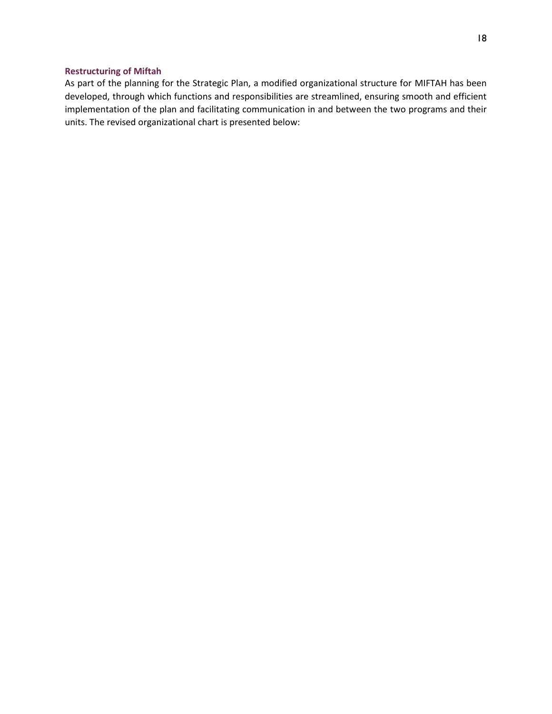### <span id="page-18-0"></span>**Restructuring of Miftah**

As part of the planning for the Strategic Plan, a modified organizational structure for MIFTAH has been developed, through which functions and responsibilities are streamlined, ensuring smooth and efficient implementation of the plan and facilitating communication in and between the two programs and their units. The revised organizational chart is presented below: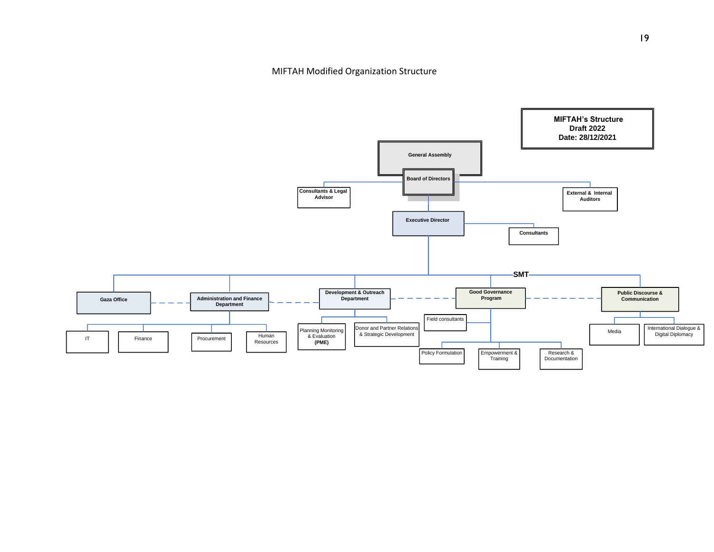MIFTAH Modified Organization Structure

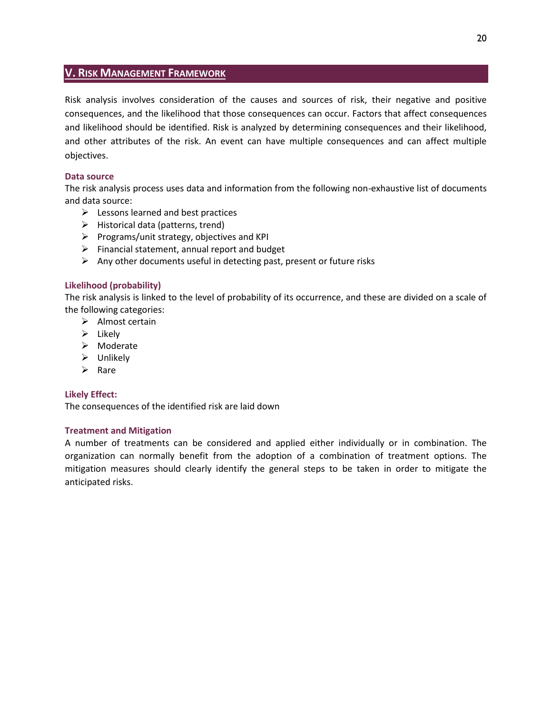## <span id="page-20-0"></span>**V. RISK MANAGEMENT FRAMEWORK**

Risk analysis involves consideration of the causes and sources of risk, their negative and positive consequences, and the likelihood that those consequences can occur. Factors that affect consequences and likelihood should be identified. Risk is analyzed by determining consequences and their likelihood, and other attributes of the risk. An event can have multiple consequences and can affect multiple objectives.

## **Data source**

The risk analysis process uses data and information from the following non-exhaustive list of documents and data source:

- $\triangleright$  Lessons learned and best practices
- $\triangleright$  Historical data (patterns, trend)
- ➢ Programs/unit strategy, objectives and KPI
- $\triangleright$  Financial statement, annual report and budget
- $\triangleright$  Any other documents useful in detecting past, present or future risks

## **Likelihood (probability)**

The risk analysis is linked to the level of probability of its occurrence, and these are divided on a scale of the following categories:

- ➢ Almost certain
- ➢ Likely
- ➢ Moderate
- ➢ Unlikely
- ➢ Rare

## **Likely Effect:**

The consequences of the identified risk are laid down

## **Treatment and Mitigation**

A number of treatments can be considered and applied either individually or in combination. The organization can normally benefit from the adoption of a combination of treatment options. The mitigation measures should clearly identify the general steps to be taken in order to mitigate the anticipated risks.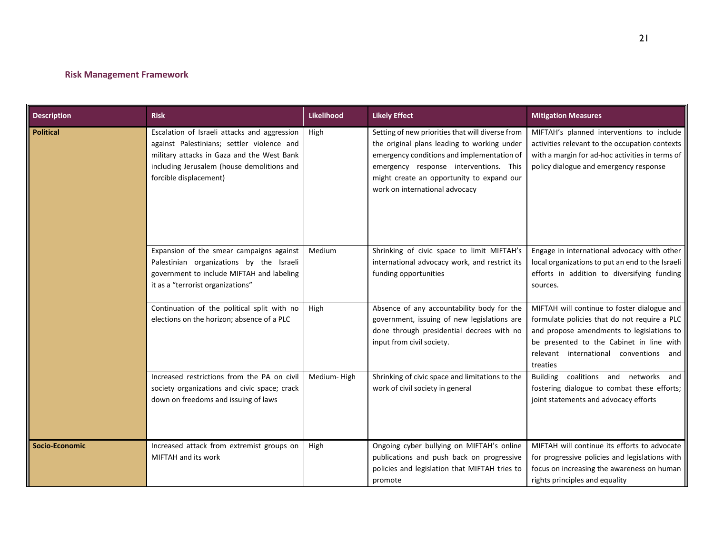## **Risk Management Framework**

<span id="page-21-0"></span>

| <b>Description</b> | <b>Risk</b>                                                                                                                                                                                                      | <b>Likelihood</b> | <b>Likely Effect</b>                                                                                                                                                                                                                                                   | <b>Mitigation Measures</b>                                                                                                                                                                                                                 |
|--------------------|------------------------------------------------------------------------------------------------------------------------------------------------------------------------------------------------------------------|-------------------|------------------------------------------------------------------------------------------------------------------------------------------------------------------------------------------------------------------------------------------------------------------------|--------------------------------------------------------------------------------------------------------------------------------------------------------------------------------------------------------------------------------------------|
| <b>Political</b>   | Escalation of Israeli attacks and aggression<br>against Palestinians; settler violence and<br>military attacks in Gaza and the West Bank<br>including Jerusalem (house demolitions and<br>forcible displacement) | High              | Setting of new priorities that will diverse from<br>the original plans leading to working under<br>emergency conditions and implementation of<br>emergency response interventions. This<br>might create an opportunity to expand our<br>work on international advocacy | MIFTAH's planned interventions to include<br>activities relevant to the occupation contexts<br>with a margin for ad-hoc activities in terms of<br>policy dialogue and emergency response                                                   |
|                    | Expansion of the smear campaigns against<br>Palestinian organizations by the Israeli<br>government to include MIFTAH and labeling<br>it as a "terrorist organizations"                                           | Medium            | Shrinking of civic space to limit MIFTAH's<br>international advocacy work, and restrict its<br>funding opportunities                                                                                                                                                   | Engage in international advocacy with other<br>local organizations to put an end to the Israeli<br>efforts in addition to diversifying funding<br>sources.                                                                                 |
|                    | Continuation of the political split with no<br>elections on the horizon; absence of a PLC                                                                                                                        | High              | Absence of any accountability body for the<br>government, issuing of new legislations are<br>done through presidential decrees with no<br>input from civil society.                                                                                                    | MIFTAH will continue to foster dialogue and<br>formulate policies that do not require a PLC<br>and propose amendments to legislations to<br>be presented to the Cabinet in line with<br>relevant international conventions and<br>treaties |
|                    | Increased restrictions from the PA on civil<br>society organizations and civic space; crack<br>down on freedoms and issuing of laws                                                                              | Medium-High       | Shrinking of civic space and limitations to the<br>work of civil society in general                                                                                                                                                                                    | Building coalitions and networks and<br>fostering dialogue to combat these efforts;<br>joint statements and advocacy efforts                                                                                                               |
| Socio-Economic     | Increased attack from extremist groups on<br>MIFTAH and its work                                                                                                                                                 | High              | Ongoing cyber bullying on MIFTAH's online<br>publications and push back on progressive<br>policies and legislation that MIFTAH tries to<br>promote                                                                                                                     | MIFTAH will continue its efforts to advocate<br>for progressive policies and legislations with<br>focus on increasing the awareness on human<br>rights principles and equality                                                             |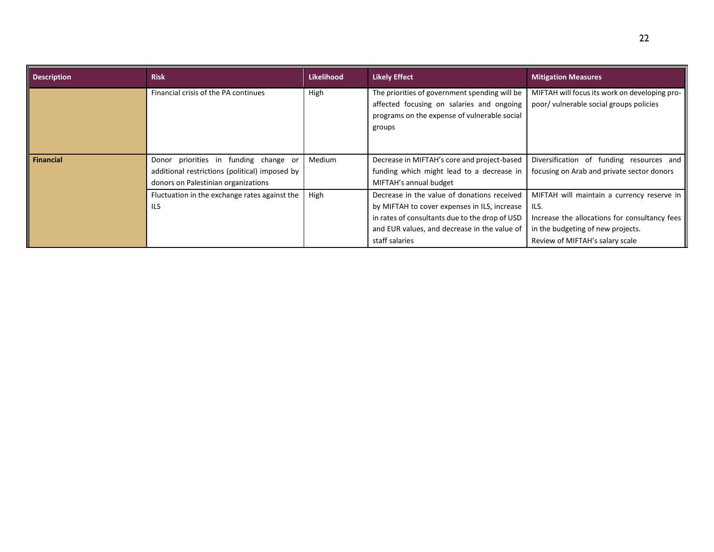| <b>Description</b> | <b>Risk</b>                                                                                                                    | <b>Likelihood</b> | <b>Likely Effect</b>                                                                                                                                                                                            | <b>Mitigation Measures</b>                                                                                                                                                  |
|--------------------|--------------------------------------------------------------------------------------------------------------------------------|-------------------|-----------------------------------------------------------------------------------------------------------------------------------------------------------------------------------------------------------------|-----------------------------------------------------------------------------------------------------------------------------------------------------------------------------|
|                    | Financial crisis of the PA continues                                                                                           | High              | The priorities of government spending will be<br>affected focusing on salaries and ongoing<br>programs on the expense of vulnerable social<br>groups                                                            | MIFTAH will focus its work on developing pro-<br>poor/ vulnerable social groups policies                                                                                    |
| Financial          | Donor priorities in funding change or<br>additional restrictions (political) imposed by<br>donors on Palestinian organizations | Medium            | Decrease in MIFTAH's core and project-based<br>funding which might lead to a decrease in<br>MIFTAH's annual budget                                                                                              | Diversification of funding resources and<br>focusing on Arab and private sector donors                                                                                      |
|                    | Fluctuation in the exchange rates against the<br><b>ILS</b>                                                                    | High              | Decrease in the value of donations received<br>by MIFTAH to cover expenses in ILS, increase<br>in rates of consultants due to the drop of USD<br>and EUR values, and decrease in the value of<br>staff salaries | MIFTAH will maintain a currency reserve in<br>ILS.<br>Increase the allocations for consultancy fees<br>in the budgeting of new projects.<br>Review of MIFTAH's salary scale |